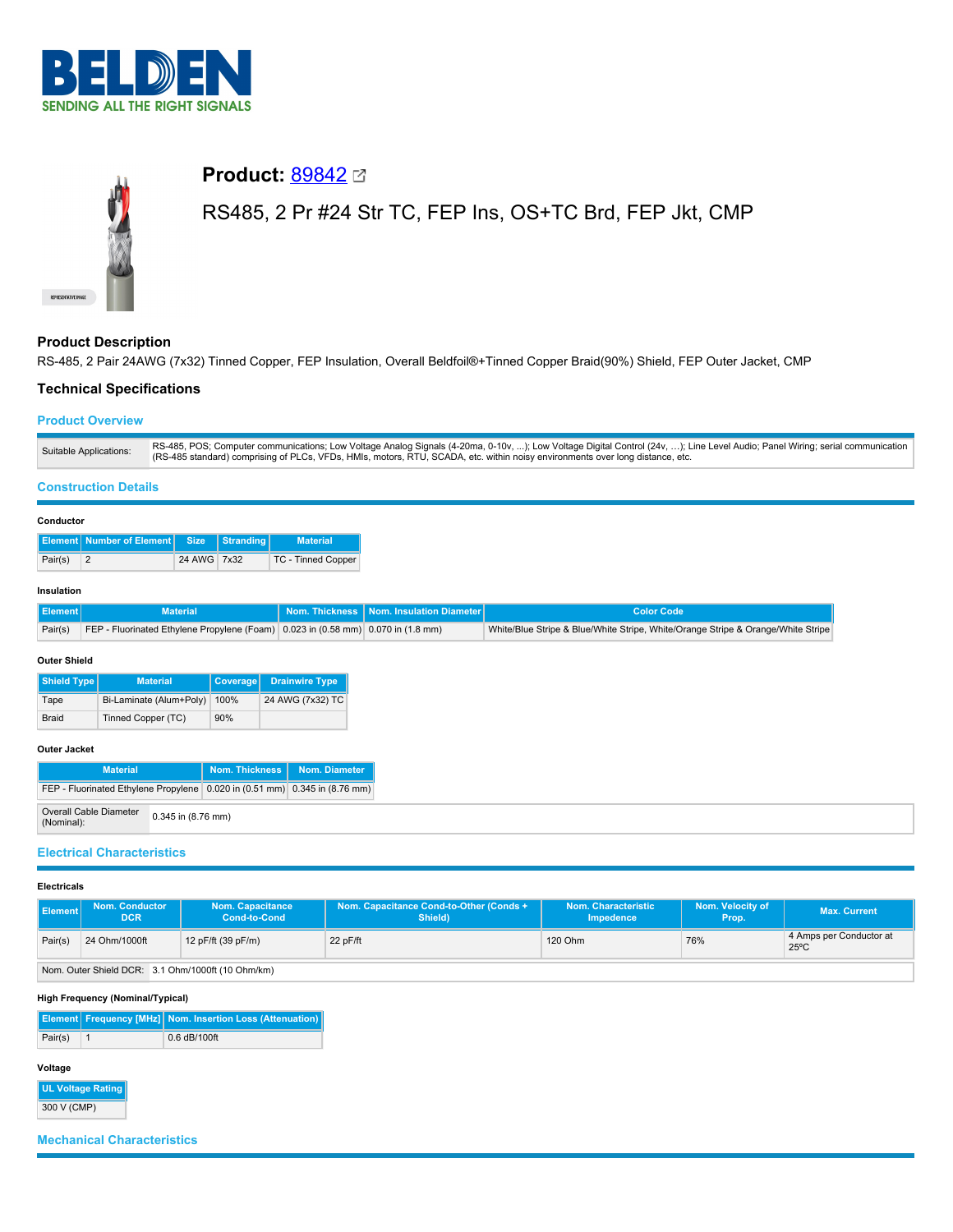



# **Product: [89842](https://catalog.belden.com/index.cfm?event=pd&p=PF_89842&tab=downloads) 22**

# RS485, 2 Pr #24 Str TC, FEP Ins, OS+TC Brd, FEP Jkt, CMP

## **Product Description**

RS-485, 2 Pair 24AWG (7x32) Tinned Copper, FEP Insulation, Overall Beldfoil®+Tinned Copper Braid(90%) Shield, FEP Outer Jacket, CMP

## **Technical Specifications**

## **Product Overview**

| Suitable Applications: | RS-485, POS; Computer communications; Low Voltage Analog Signals (4-20ma, 0-10v, ); Low Voltage Digital Control (24v, ); Line Level Audio; Panel Wiring; serial communication<br>(RS-485 standard) comprising of PLCs, VFDs, HMIs, motors, RTU, SCADA, etc. within noisy environments over long distance, etc. |
|------------------------|----------------------------------------------------------------------------------------------------------------------------------------------------------------------------------------------------------------------------------------------------------------------------------------------------------------|

## **Construction Details**

#### **Conductor**

|         | Element Number of Element Size Stranding |             | <b>Material</b>    |
|---------|------------------------------------------|-------------|--------------------|
| Pair(s) |                                          | 24 AWG 7x32 | TC - Tinned Copper |

#### **Insulation**

| <b>Element</b> | <b>Material</b>                                                                          | Nom. Thickness   Nom. Insulation Diameter | Color Code                                                                       |
|----------------|------------------------------------------------------------------------------------------|-------------------------------------------|----------------------------------------------------------------------------------|
|                | Pair(s) FEP - Fluorinated Ethylene Propylene (Foam) 0.023 in (0.58 mm) 0.070 in (1.8 mm) |                                           | White/Blue Stripe & Blue/White Stripe, White/Orange Stripe & Orange/White Stripe |

#### **Outer Shield**

| Shield Type  | <b>Material</b>         | Coverage | <b>Drainwire Type</b> |
|--------------|-------------------------|----------|-----------------------|
| Tape         | Bi-Laminate (Alum+Poly) | 100%     | 24 AWG (7x32) TC      |
| <b>Braid</b> | Tinned Copper (TC)      | 90%      |                       |

#### **Outer Jacket**

| <b>Material</b>                                                            |                    | Nom. Thickness | Nom. Diameter |  |
|----------------------------------------------------------------------------|--------------------|----------------|---------------|--|
| FEP - Fluorinated Ethylene Propylene 0.020 in (0.51 mm) 0.345 in (8.76 mm) |                    |                |               |  |
| <b>Overall Cable Diameter</b><br>(Nominal):                                | 0.345 in (8.76 mm) |                |               |  |

### **Electrical Characteristics**

#### **Electricals**

| <b>Element</b> | <b>Nom. Conductor</b><br><b>DCR</b> | <b>Nom. Capacitance</b><br><b>Cond-to-Cond</b> | Nom. Capacitance Cond-to-Other (Conds +<br>Shield) | Nom. Characteristic<br>Impedence | Nom. Velocity of<br>Prop. | <b>Max. Current</b>                       |
|----------------|-------------------------------------|------------------------------------------------|----------------------------------------------------|----------------------------------|---------------------------|-------------------------------------------|
| Pair(s)        | 24 Ohm/1000ft                       | 12 pF/ft (39 pF/m)                             | 22 pF/ft                                           | 120 Ohm                          | 76%                       | 4 Amps per Conductor at<br>$25^{\circ}$ C |

Nom. Outer Shield DCR: 3.1 Ohm/1000ft (10 Ohm/km)

### **High Frequency (Nominal/Typical)**

|         | <b>Element Frequency [MHz] Nom. Insertion Loss (Attenuation)</b> |
|---------|------------------------------------------------------------------|
| Pair(s) | $0.6$ dB/100ft                                                   |

## **Voltage**

**UL Voltage Rating** 300 V (CMP)

# **Mechanical Characteristics**